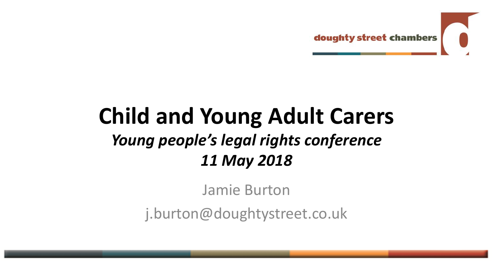

### **Child and Young Adult Carers** *Young people's legal rights conference 11 May 2018*

Jamie Burton

j.burton@doughtystreet.co.uk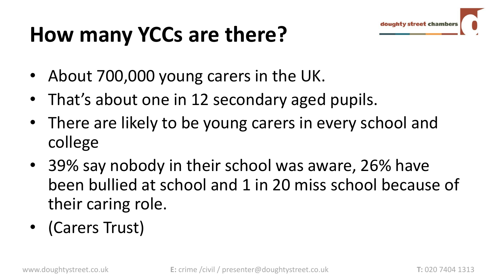# doughty street cha

# **How many YCCs are there?**

- About 700,000 young carers in the UK.
- That's about one in 12 secondary aged pupils.
- There are likely to be young carers in every school and college
- 39% say nobody in their school was aware, 26% have been bullied at school and 1 in 20 miss school because of their caring role.
- (Carers Trust)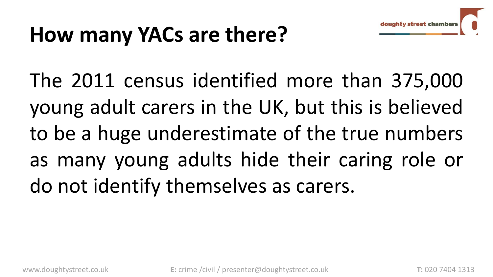

## **How many YACs are there?**

The 2011 census identified more than 375,000 young adult carers in the UK, but this is believed to be a huge underestimate of the true numbers as many young adults hide their caring role or do not identify themselves as carers.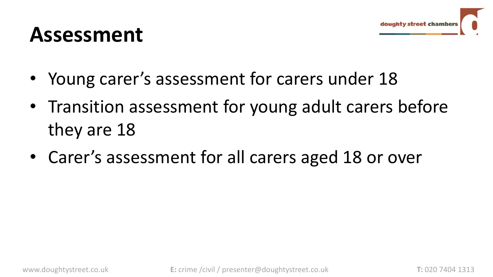### **Assessment**

- Young carer's assessment for carers under 18
- Transition assessment for young adult carers before they are 18
- Carer's assessment for all carers aged 18 or over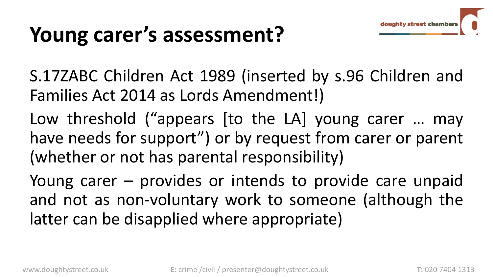# doughty street chan

### **Young carer's assessment?**

S.17ZABC Children Act 1989 (inserted by s.96 Children and Families Act 2014 as Lords Amendment!)

Low threshold ("appears [to the LA] young carer … may have needs for support") or by request from carer or parent (whether or not has parental responsibility)

Young carer – provides or intends to provide care unpaid and not as non-voluntary work to someone (although the latter can be disapplied where appropriate)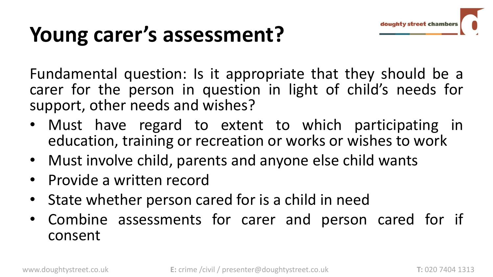

## **Young carer's assessment?**

Fundamental question: Is it appropriate that they should be a carer for the person in question in light of child's needs for support, other needs and wishes?

- Must have regard to extent to which participating in education, training or recreation or works or wishes to work
- Must involve child, parents and anyone else child wants
- Provide a written record
- State whether person cared for is a child in need
- Combine assessments for carer and person cared for if consent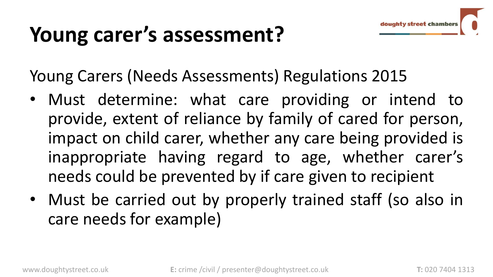## **Young carer's assessment?**

Young Carers (Needs Assessments) Regulations 2015

- Must determine: what care providing or intend to provide, extent of reliance by family of cared for person, impact on child carer, whether any care being provided is inappropriate having regard to age, whether carer's needs could be prevented by if care given to recipient
- Must be carried out by properly trained staff (so also in care needs for example)

doughty street chan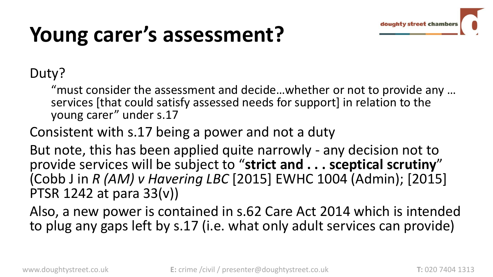

## **Young carer's assessment?**

#### Duty?

"must consider the assessment and decide…whether or not to provide any … services [that could satisfy assessed needs for support] in relation to the young carer" under s.17

Consistent with s.17 being a power and not a duty

But note, this has been applied quite narrowly - any decision not to provide services will be subject to "**strict and . . . sceptical scrutiny**" (Cobb J in *R (AM) v Havering LBC* [2015] EWHC 1004 (Admin); [2015] PTSR 1242 at para 33(v))

Also, a new power is contained in s.62 Care Act 2014 which is intended to plug any gaps left by s.17 (i.e. what only adult services can provide)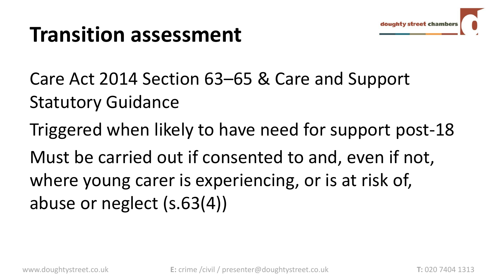

Care Act 2014 Section 63–65 & Care and Support Statutory Guidance

Triggered when likely to have need for support post-18 Must be carried out if consented to and, even if not, where young carer is experiencing, or is at risk of, abuse or neglect (s.63(4))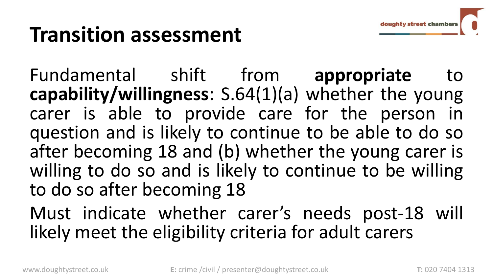Fundamental shift from **appropriate** to **capability/willingness**: S.64(1)(a) whether the young carer is able to provide care for the person in question and is likely to continue to be able to do so after becoming 18 and (b) whether the young carer is willing to do so and is likely to continue to be willing to do so after becoming 18

Must indicate whether carer's needs post-18 will likely meet the eligibility criteria for adult carers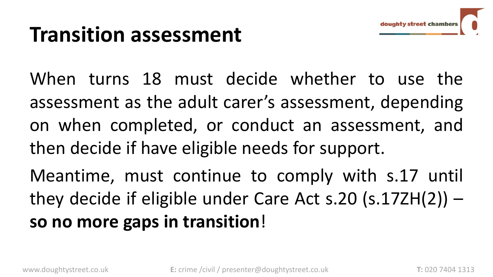When turns 18 must decide whether to use the assessment as the adult carer's assessment, depending on when completed, or conduct an assessment, and then decide if have eligible needs for support.

Meantime, must continue to comply with s.17 until they decide if eligible under Care Act s.20 (s.17ZH(2)) – **so no more gaps in transition**!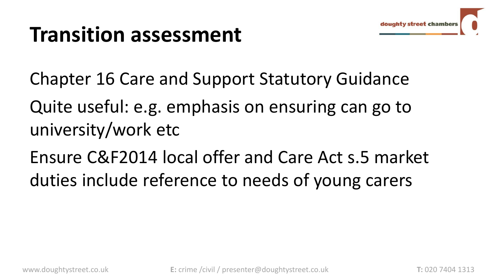

Chapter 16 Care and Support Statutory Guidance

Quite useful: e.g. emphasis on ensuring can go to university/work etc

Ensure C&F2014 local offer and Care Act s.5 market duties include reference to needs of young carers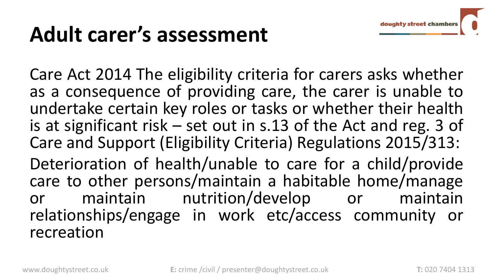### **Adult carer's assessment**

Care Act 2014 The eligibility criteria for carers asks whether as a consequence of providing care, the carer is unable to undertake certain key roles or tasks or whether their health is at significant risk – set out in s.13 of the Act and reg. 3 of Care and Support (Eligibility Criteria) Regulations 2015/313:

Deterioration of health/unable to care for a child/provide care to other persons/maintain a habitable home/manage or maintain nutrition/develop or maintain relationships/engage in work etc/access community or recreation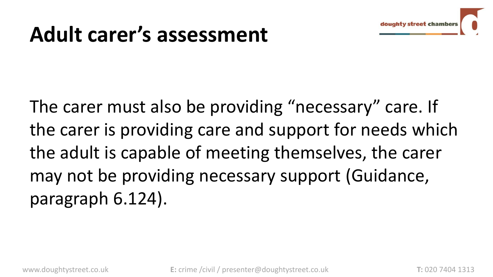

### **Adult carer's assessment**

The carer must also be providing "necessary" care. If the carer is providing care and support for needs which the adult is capable of meeting themselves, the carer may not be providing necessary support (Guidance, paragraph 6.124).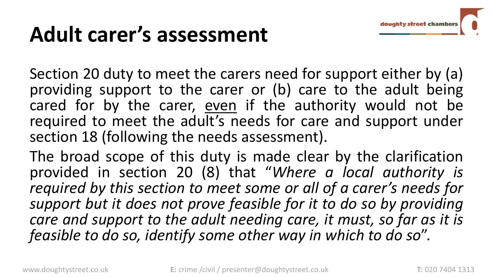### **Adult carer's assessment**

Section 20 duty to meet the carers need for support either by (a) providing support to the carer or (b) care to the adult being cared for by the carer, even if the authority would not be required to meet the adult's needs for care and support under section 18 (following the needs assessment).

The broad scope of this duty is made clear by the clarification provided in section 20 (8) that "*Where a local authority is required by this section to meet some or all of a carer's needs for support but it does not prove feasible for it to do so by providing care and support to the adult needing care, it must, so far as it is feasible to do so, identify some other way in which to do so*".

doughty street cham